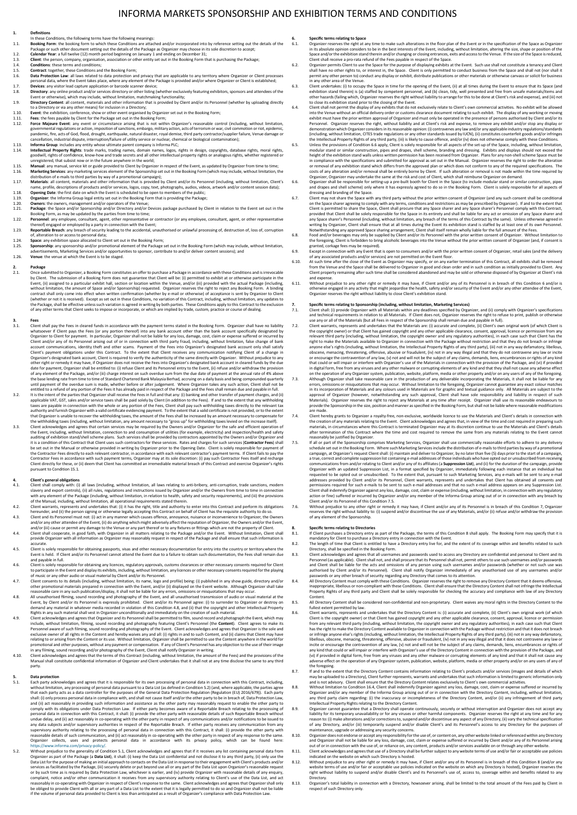# INFORMA MARKETS SPONSORSHIP AND EXHIBITION TERMS AND CONDITIONS

- 
- 
- 
- 
- 
- 
- 
- 1.1. Definitions, the following terms have the following meanings:<br>
1.1. Deobing Form: the booking form to which these Conditions are attached and/or incorporated into by reference setting out the details of the<br>
Package o to a Directory or wa any other means) for inclusion in a Directory;<br>1.10. **Event:** the exhibition, conference, show or other event organised by Organizer set out in the Booking Form;<br>1.12. **Force Majeure Event:** any event
- 
- governmental regulations or action, imposition of sanctions, embargo, military action, acts of terrorism or war, civil commotion or riot, epidemic,<br>pandemic, fire, acts of God, flood, drought, earthquake, natural disaster,
- 1.13. Informa Group: includes any entity whose ultimate parent company is Informa PLC;<br>1.14. Intellectual Property Rights: trade marks, trading names, domain names, logos, rights in design, copyrights, database rights, mor
- 
- 
- 
- 
- 
- 
- 
- uneglistered, that subists now-how and trade secrets and all other intellectual property rights or analogous rights, whether registered or<br>
uneglistered, that subists now or in the future anywhere in the world;<br>
1.15. **Man**
- 
- 

**2. Package** 2.1. Once submitted to Organizer, a Booking Form constitutes an offer to purchase a Package in accordance with these Conditions and is irrevocable by Client. The submission of a Booking Form does not guarantee that Client will be: (i) permitted to exhibit hall, settion or location within the Venue, and/or (iii) provided with the actual Package (including, where, the

- 3.1. Client shall pay the Fees in cleared funds in accordance with the payment terms stated in the Booking Form. Organizer shall have no liability what second to the mass the fees (or any portion thereof) lino any bank ac
- 
- entitled to a refund of any portion of the Fees it has already paid in respect of the Package and the Fees that alreaning in during the partical term in this term in the feest in full and that any: (i) banking and other tr

- 4. Client's general obligations<br>1. Client shall comply with: (i) all laws (including, without limitation, all laws relating to anti-bribery, anti-coruption, trade sanctions, modern<br>1. slavery and export controls), (ii) all
- of the Manual, including, without limitation, all operational requirements stated therein.<br>4.2. Client warrants, represents and undertakes that: (i) it has the right, title and authority to enter into this Contract
- 4.3. Client and its Personnel must not: (i) act in any manner which causes offence, annoyance, nuisance or inconvenience to Organizer, the Owners<br>and/or any other attendee of the Event, (ii) do anything which might adverse
- 4.4. Client shall cooperate, in good faith, with Organizer in all matters relating to the Package and/or the Event. Without limitation, Client shall<br>provide Organizer with all information as Organizer may reasonably reques
- 
- 
- 
- 4.5. Client is held, if Client and/or its Personnel and the mecessary documentation for entry into the country or territory where the Event the data (Filent and/or its Personnel cannot attend the Event due to a failure to
- Personnel aware of such filming, sound recording and photography of the Event. Client acknowledges and agrees that Organizer is the sole and<br>exclusive owner of all rights in the Content and hereby waives any and all: (i) r promotional and other purposes, without any payment or compensation. If any of Client's Personnel has any objection to the use of their image<br>in any filming, sound recording and/or photography of the Event, Client shall no
- Manual shall constitute confidential information of Organizer and Client undertakes that it shall not at any time disclose the same to any third party.

- 5.1. Data protection<br>
Excharge that it is responsible for its own processing of personal data in connection with this Contract, including<br>
without limitation, any processing of personal data pursuant to a Data List (as def
- Organizer as part of the Package (a **Data List)**, it shall: (i) keep the Data List confidential and not disdose it to any third party, (ii) only use the<br>Data List for the purpose of making an initial approach to contacts o or by such time as is required by Data Protection Law, whichever is earlier, and (iv) provide Organizer with reasonable details of any enquiry,<br>complaint, notice and/or other communication it receives from any supervisory

- 6.1 Specific terms relating to Space<br>
The Comparation of the Specific terms relations in the floor plan of the Event or in the specification of the Space as Organizer<br>
in its absolute opinion considers to be in the best in
- 
- exhibit must have the prior written approval of Organizer and must only be operated in the presence of persons authorised by Client and/or its<br>Personnel. Organizer reserves the right, without liability and at Client's ri
- demonstration which Organizer considers in its reasonable opinion: (i) contravenes any law and/or any applicable industry regulations/standards<br>(including, without limitation, CITES trade regulations or any other standards in compliance with the specifications and submitted for approval as set out in the Manual. Organizer reserves the right to order the alteration<br>or removal of any exhibition stand which differs from the approved plan or whi
- 
- 6.7. Client may not share the Space share have then yield party without the prior written consent of Organizer (and any such consent shall be conditional on the Space share agreeing to comply with any terms, conditions and
- 
- 
- of any associated products and/or services) are not permitted on the Event floor.<br>At such time after the close of the Event as Organizer may specify, or on any earlier termination of this Contract, all exhibits shall be re
- and expense. 6.11. Without prejudice to any other right or remedy it may have, if Client and/or any of its Personnel is in breach of this Condition 6 and/or is otherwise engaged in any activity that might jeopardise the health, safety and/or security of the Event and/or any other attendee of the Event,<br>Organizer reserves the right without liability to close Client's exhibition st

- 
- 7.1 Specific terms relating to Sponsorship (including, withour limitation, Marketing Services)<br>
Telent shall: (i) provide Organizer with all Materials within any deadlines specified by Organizer, and (ii) comply with Organ errors, omissions or misquotations that may occur. Without limitation to the foregoing. Organizer cannot guarantee any exact colour matches<br>in its incorporation of Materials and any colours used in Materials are for graphi
- .<br>Materials). Organizer reserves the right to reject any Materials at any time after receipt. Organizer shall use its reasonable endeavours to<br>provide the Sponsorship in the size, position and manner as specified in the Bo
- 
- are made.<br>
are made.<br>
are mode the size, position and manner as specified in the Booking Form, but shall not be liable where reasonable modifications<br>
client hereby grants to Organizer a royalty-free, non-exclusive, worldw
- 7.6. Without prejudice to any other right or remedy it may have, if Client and/or any of its Personnel is in breach of this Condition 7, Organizer<br>reserves the right without liability to: (i) suspend and/or discontinue the of any element of the Sponsorship.

- 
- 
- 8.<br>
Sepecific terms relating to Directories<br>
The Client purchases a Directory entry as part of the Package, the terms of this Condition 8 shall apply. The Booking Form may specify that it is<br>
mandatory for Client to purcha
- 
- 8.5. All Directory Content shall be considered non-confidential and non-proprietary. Client waives any moral rights in the Directory Content to the fullest extent permitted by law.
- 8.6. Client warrants, represents and undertakes that the Directory Content is: (i) accurate and complete, (ii) Client's own original work (of which<br>Client is the copyright owner) or that Client has gained copyright and any has the right to make the Directory Content available to Organizer in connection with the Package without restriction and that it does not breach<br>or infringe anyone else's rights (including, without limitation, the Intelle incite or encourage the contravention of any law, (v) not and will not be the subject of any claims, demands, liens, encumbrances or rights of<br>any kind that could or will impair or interfere with Organizer's use of the Dir adverse effect on the operation of any Organizer system, publication, website, platform, media or other property and/or on any users of any of
- the foregoing.<br>If and to the extent that the Directory Content contains information relating to Client's products and/or services (images and details of whicl
- 
- 8.7. If and to the extent that the Directory Content contains information relating to Client's products and/or services (images and details of which was may be uploaded to a Directory), Client further represents, warrants
- and Organizer shall not be liable for any loss, damage, cost, claim or expense suffered or incurred by Client and/or any of its Personnel arising<br>out of or in connection with the use of, or reliance on, any content, produc
- indicated on the website on which such Directory is hosted.<br>8.12. Without prejudice to any other right or remedy it may have, if Client and/or any of its Personnel is in breach of this Condition 8 (and/or any<br>website terms
- right without liability to suspend and/or disable Client's and its Personnel's use of, access to, coverage within and benefits related to any
- Directory. 8.13. Organizer's total liability in connection with a Directory, howsoever arising, shall be limited to the total amount of the Fees paid by Client in respect of such Directory only.